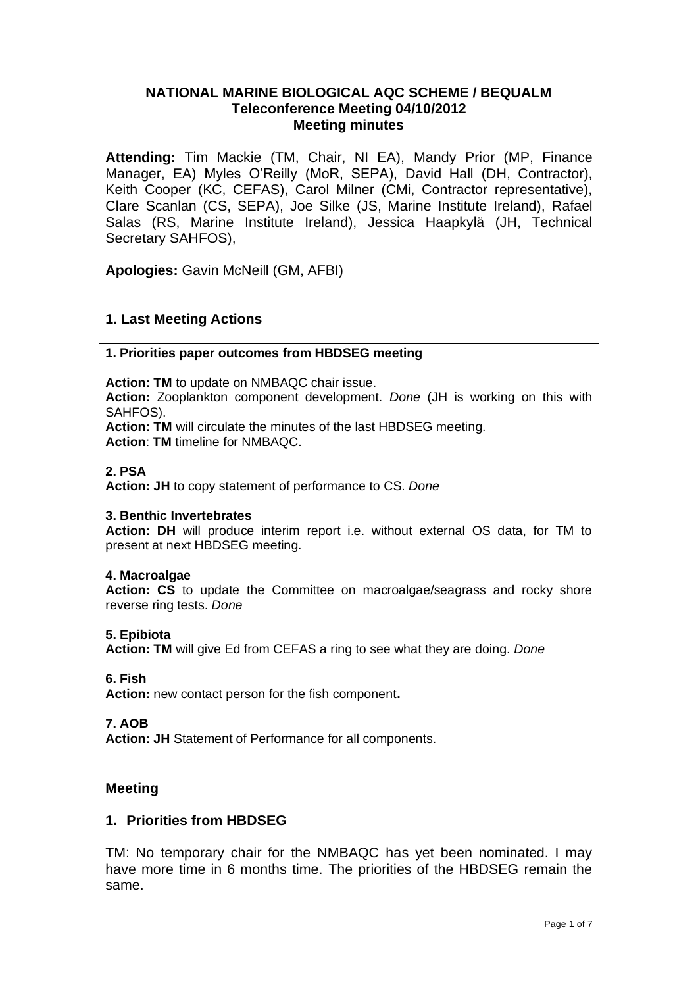## **NATIONAL MARINE BIOLOGICAL AQC SCHEME / BEQUALM Teleconference Meeting 04/10/2012 Meeting minutes**

**Attending:** Tim Mackie (TM, Chair, NI EA), Mandy Prior (MP, Finance Manager, EA) Myles O'Reilly (MoR, SEPA), David Hall (DH, Contractor), Keith Cooper (KC, CEFAS), Carol Milner (CMi, Contractor representative), Clare Scanlan (CS, SEPA), Joe Silke (JS, Marine Institute Ireland), Rafael Salas (RS, Marine Institute Ireland), Jessica Haapkylä (JH, Technical Secretary SAHFOS),

**Apologies:** Gavin McNeill (GM, AFBI)

## **1. Last Meeting Actions**

### **1. Priorities paper outcomes from HBDSEG meeting**

**Action: TM** to update on NMBAQC chair issue.

**Action:** Zooplankton component development. *Done* (JH is working on this with SAHFOS).

**Action: TM** will circulate the minutes of the last HBDSEG meeting. **Action**: **TM** timeline for NMBAQC.

#### **2. PSA**

**Action: JH** to copy statement of performance to CS. *Done*

### **3. Benthic Invertebrates**

**Action: DH** will produce interim report i.e. without external OS data, for TM to present at next HBDSEG meeting.

#### **4. Macroalgae**

**Action: CS** to update the Committee on macroalgae/seagrass and rocky shore reverse ring tests. *Done*

#### **5. Epibiota**

**Action: TM** will give Ed from CEFAS a ring to see what they are doing. *Done*

### **6. Fish**

**Action:** new contact person for the fish component**.**

#### **7. AOB**

**Action: JH** Statement of Performance for all components.

### **Meeting**

### **1. Priorities from HBDSEG**

TM: No temporary chair for the NMBAQC has yet been nominated. I may have more time in 6 months time. The priorities of the HBDSEG remain the same.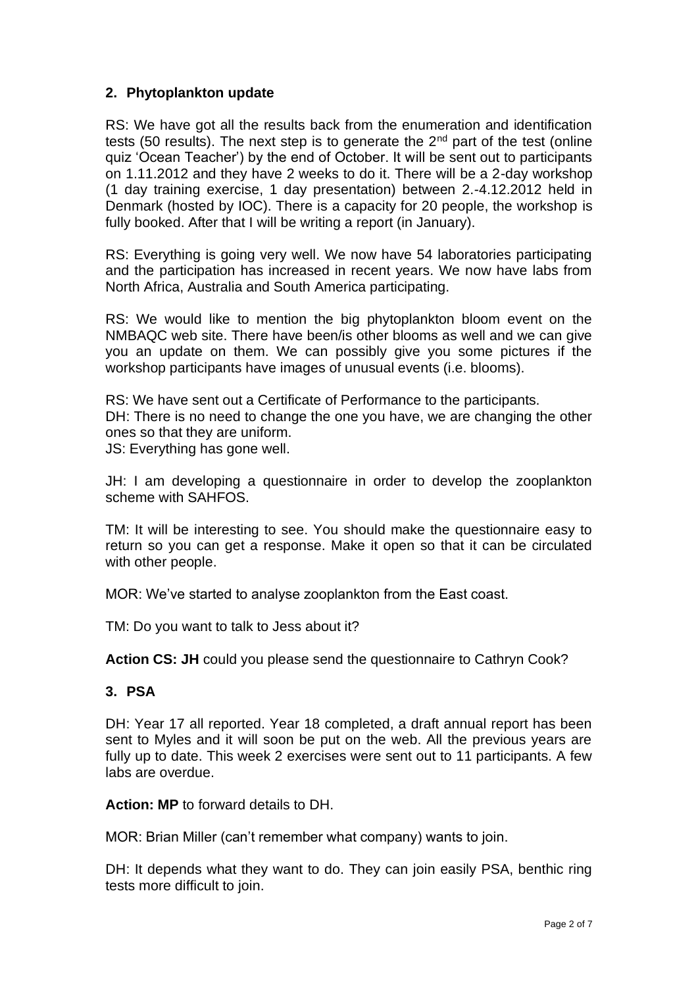# **2. Phytoplankton update**

RS: We have got all the results back from the enumeration and identification tests (50 results). The next step is to generate the  $2<sup>nd</sup>$  part of the test (online quiz 'Ocean Teacher') by the end of October. It will be sent out to participants on 1.11.2012 and they have 2 weeks to do it. There will be a 2-day workshop (1 day training exercise, 1 day presentation) between 2.-4.12.2012 held in Denmark (hosted by IOC). There is a capacity for 20 people, the workshop is fully booked. After that I will be writing a report (in January).

RS: Everything is going very well. We now have 54 laboratories participating and the participation has increased in recent years. We now have labs from North Africa, Australia and South America participating.

RS: We would like to mention the big phytoplankton bloom event on the NMBAQC web site. There have been/is other blooms as well and we can give you an update on them. We can possibly give you some pictures if the workshop participants have images of unusual events (i.e. blooms).

RS: We have sent out a Certificate of Performance to the participants. DH: There is no need to change the one you have, we are changing the other ones so that they are uniform. JS: Everything has gone well.

JH: I am developing a questionnaire in order to develop the zooplankton scheme with SAHFOS.

TM: It will be interesting to see. You should make the questionnaire easy to return so you can get a response. Make it open so that it can be circulated with other people.

MOR: We've started to analyse zooplankton from the East coast.

TM: Do you want to talk to Jess about it?

**Action CS: JH** could you please send the questionnaire to Cathryn Cook?

## **3. PSA**

DH: Year 17 all reported. Year 18 completed, a draft annual report has been sent to Myles and it will soon be put on the web. All the previous years are fully up to date. This week 2 exercises were sent out to 11 participants. A few labs are overdue.

**Action: MP** to forward details to DH.

MOR: Brian Miller (can't remember what company) wants to join.

DH: It depends what they want to do. They can join easily PSA, benthic ring tests more difficult to join.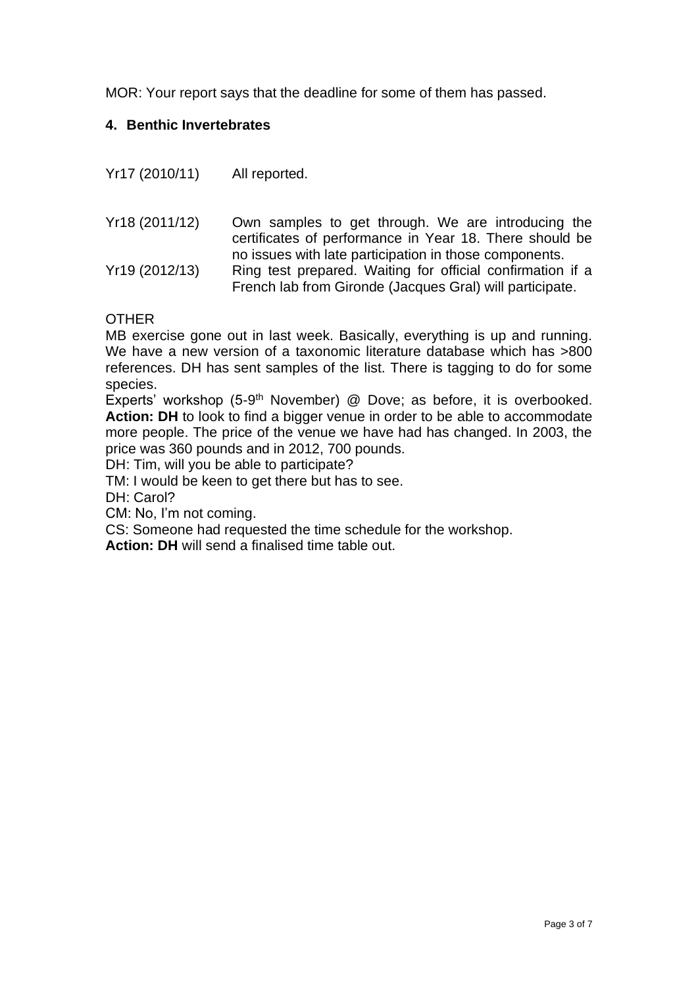MOR: Your report says that the deadline for some of them has passed.

# **4. Benthic Invertebrates**

| Yr17 (2010/11) | All reported.                                                                                                                                                                    |
|----------------|----------------------------------------------------------------------------------------------------------------------------------------------------------------------------------|
| Yr18 (2011/12) | Own samples to get through. We are introducing the<br>certificates of performance in Year 18. There should be                                                                    |
| Yr19 (2012/13) | no issues with late participation in those components.<br>Ring test prepared. Waiting for official confirmation if a<br>French lab from Gironde (Jacques Gral) will participate. |

OTHER

MB exercise gone out in last week. Basically, everything is up and running. We have a new version of a taxonomic literature database which has >800 references. DH has sent samples of the list. There is tagging to do for some species.

Experts' workshop (5-9<sup>th</sup> November) @ Dove; as before, it is overbooked. **Action: DH** to look to find a bigger venue in order to be able to accommodate more people. The price of the venue we have had has changed. In 2003, the price was 360 pounds and in 2012, 700 pounds.

DH: Tim, will you be able to participate?

TM: I would be keen to get there but has to see.

DH: Carol?

CM: No, I'm not coming.

CS: Someone had requested the time schedule for the workshop.

**Action: DH** will send a finalised time table out.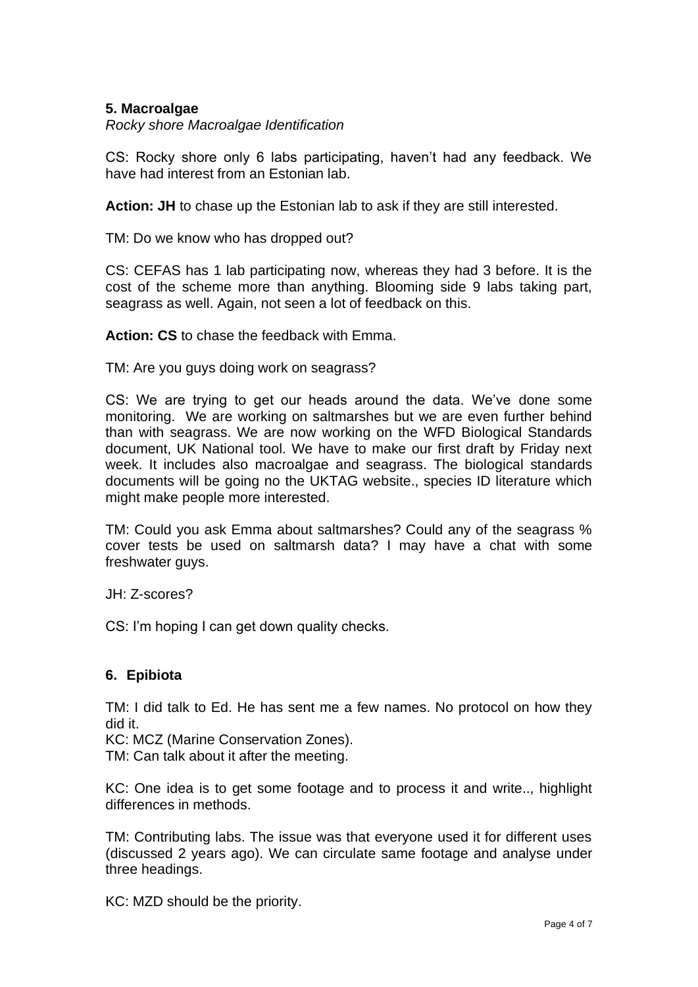## **5. Macroalgae**

*Rocky shore Macroalgae Identification*

CS: Rocky shore only 6 labs participating, haven't had any feedback. We have had interest from an Estonian lab.

**Action: JH** to chase up the Estonian lab to ask if they are still interested.

TM: Do we know who has dropped out?

CS: CEFAS has 1 lab participating now, whereas they had 3 before. It is the cost of the scheme more than anything. Blooming side 9 labs taking part, seagrass as well. Again, not seen a lot of feedback on this.

**Action: CS** to chase the feedback with Emma.

TM: Are you guys doing work on seagrass?

CS: We are trying to get our heads around the data. We've done some monitoring. We are working on saltmarshes but we are even further behind than with seagrass. We are now working on the WFD Biological Standards document, UK National tool. We have to make our first draft by Friday next week. It includes also macroalgae and seagrass. The biological standards documents will be going no the UKTAG website., species ID literature which might make people more interested.

TM: Could you ask Emma about saltmarshes? Could any of the seagrass % cover tests be used on saltmarsh data? I may have a chat with some freshwater guys.

JH: Z-scores?

CS: I'm hoping I can get down quality checks.

## **6. Epibiota**

TM: I did talk to Ed. He has sent me a few names. No protocol on how they did it.

KC: MCZ (Marine Conservation Zones).

TM: Can talk about it after the meeting.

KC: One idea is to get some footage and to process it and write.., highlight differences in methods.

TM: Contributing labs. The issue was that everyone used it for different uses (discussed 2 years ago). We can circulate same footage and analyse under three headings.

KC: MZD should be the priority.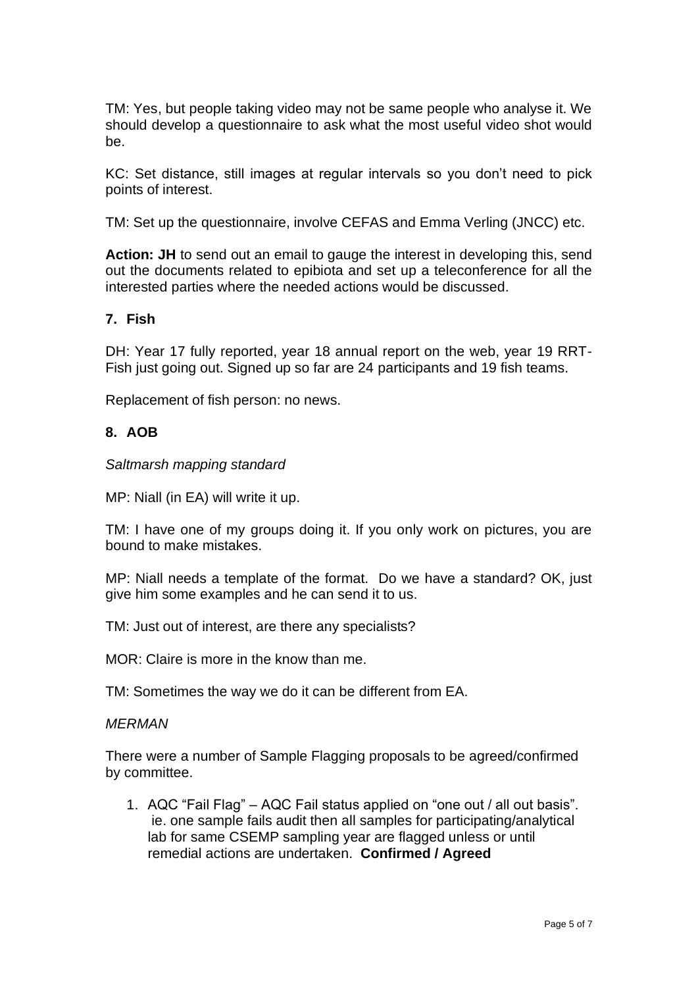TM: Yes, but people taking video may not be same people who analyse it. We should develop a questionnaire to ask what the most useful video shot would be.

KC: Set distance, still images at regular intervals so you don't need to pick points of interest.

TM: Set up the questionnaire, involve CEFAS and Emma Verling (JNCC) etc.

**Action: JH** to send out an email to gauge the interest in developing this, send out the documents related to epibiota and set up a teleconference for all the interested parties where the needed actions would be discussed.

## **7. Fish**

DH: Year 17 fully reported, year 18 annual report on the web, year 19 RRT-Fish just going out. Signed up so far are 24 participants and 19 fish teams.

Replacement of fish person: no news.

## **8. AOB**

*Saltmarsh mapping standard*

MP: Niall (in EA) will write it up.

TM: I have one of my groups doing it. If you only work on pictures, you are bound to make mistakes.

MP: Niall needs a template of the format. Do we have a standard? OK, just give him some examples and he can send it to us.

TM: Just out of interest, are there any specialists?

MOR: Claire is more in the know than me.

TM: Sometimes the way we do it can be different from EA.

#### *MERMAN*

There were a number of Sample Flagging proposals to be agreed/confirmed by committee.

1. AQC "Fail Flag" – AQC Fail status applied on "one out / all out basis". ie. one sample fails audit then all samples for participating/analytical lab for same CSEMP sampling year are flagged unless or until remedial actions are undertaken. **Confirmed / Agreed**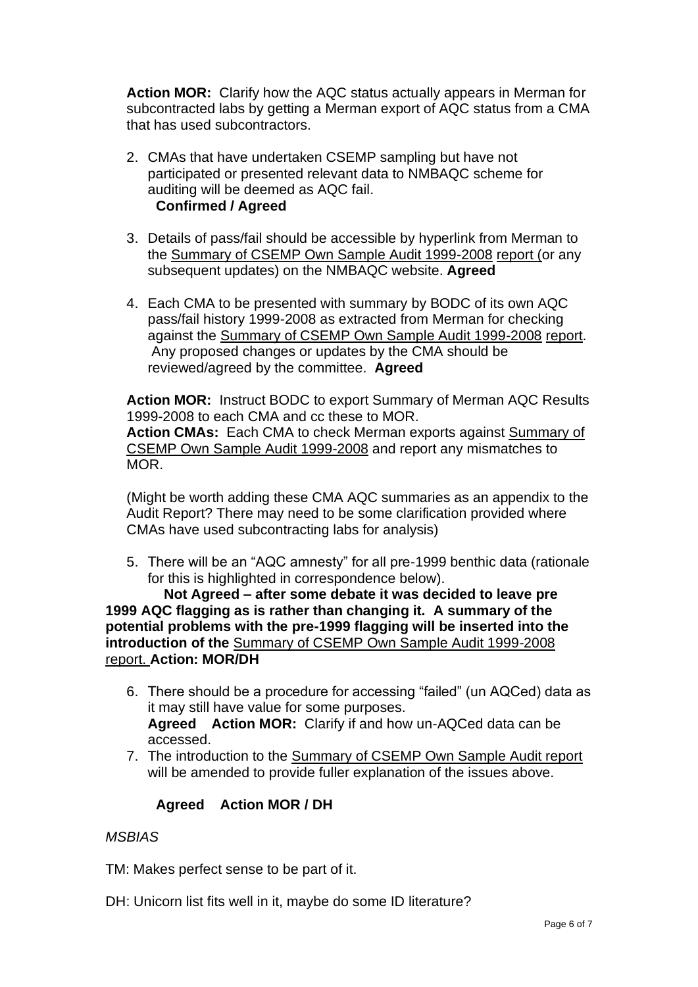**Action MOR:** Clarify how the AQC status actually appears in Merman for subcontracted labs by getting a Merman export of AQC status from a CMA that has used subcontractors.

- 2. CMAs that have undertaken CSEMP sampling but have not participated or presented relevant data to NMBAQC scheme for auditing will be deemed as AQC fail. **Confirmed / Agreed**
- 3. Details of pass/fail should be accessible by hyperlink from Merman to the Summary of CSEMP Own Sample Audit 1999-2008 report (or any subsequent updates) on the NMBAQC website. **Agreed**
- 4. Each CMA to be presented with summary by BODC of its own AQC pass/fail history 1999-2008 as extracted from Merman for checking against the Summary of CSEMP Own Sample Audit 1999-2008 report. Any proposed changes or updates by the CMA should be reviewed/agreed by the committee. **Agreed**

**Action MOR:** Instruct BODC to export Summary of Merman AQC Results 1999-2008 to each CMA and cc these to MOR. **Action CMAs:** Each CMA to check Merman exports against Summary of CSEMP Own Sample Audit 1999-2008 and report any mismatches to MOR.

(Might be worth adding these CMA AQC summaries as an appendix to the Audit Report? There may need to be some clarification provided where CMAs have used subcontracting labs for analysis)

5. There will be an "AQC amnesty" for all pre-1999 benthic data (rationale for this is highlighted in correspondence below).

 **Not Agreed – after some debate it was decided to leave pre 1999 AQC flagging as is rather than changing it. A summary of the potential problems with the pre-1999 flagging will be inserted into the introduction of the** Summary of CSEMP Own Sample Audit 1999-2008 report. **Action: MOR/DH**

- 6. There should be a procedure for accessing "failed" (un AQCed) data as it may still have value for some purposes. **Agreed Action MOR:** Clarify if and how un-AQCed data can be accessed.
- 7. The introduction to the Summary of CSEMP Own Sample Audit report will be amended to provide fuller explanation of the issues above.

# **Agreed Action MOR / DH**

# *MSBIAS*

TM: Makes perfect sense to be part of it.

DH: Unicorn list fits well in it, maybe do some ID literature?